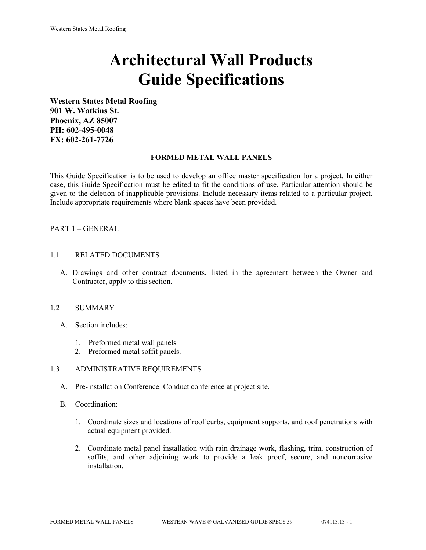# **Architectural Wall Products Guide Specifications**

**Western States Metal Roofing 901 W. Watkins St. Phoenix, AZ 85007 PH: 602-495-0048 FX: 602-261-7726**

#### **FORMED METAL WALL PANELS**

This Guide Specification is to be used to develop an office master specification for a project. In either case, this Guide Specification must be edited to fit the conditions of use. Particular attention should be given to the deletion of inapplicable provisions. Include necessary items related to a particular project. Include appropriate requirements where blank spaces have been provided.

## PART 1 – GENERAL

#### 1.1 RELATED DOCUMENTS

A. Drawings and other contract documents, listed in the agreement between the Owner and Contractor, apply to this section.

#### 1.2 SUMMARY

- A. Section includes:
	- 1. Preformed metal wall panels
	- 2. Preformed metal soffit panels.

#### 1.3 ADMINISTRATIVE REQUIREMENTS

- A. Pre-installation Conference: Conduct conference at project site.
- B. Coordination:
	- 1. Coordinate sizes and locations of roof curbs, equipment supports, and roof penetrations with actual equipment provided.
	- 2. Coordinate metal panel installation with rain drainage work, flashing, trim, construction of soffits, and other adjoining work to provide a leak proof, secure, and noncorrosive installation.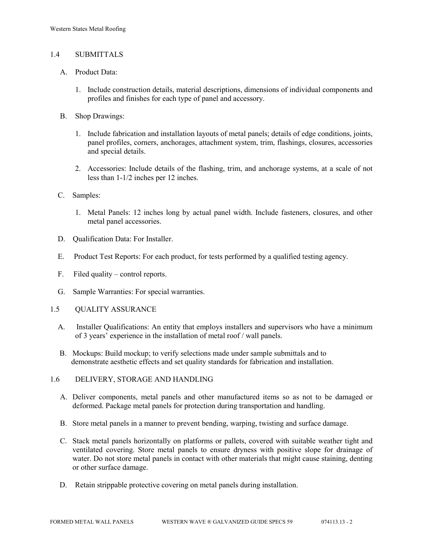## 1.4 SUBMITTALS

- A. Product Data:
	- 1. Include construction details, material descriptions, dimensions of individual components and profiles and finishes for each type of panel and accessory.
- B. Shop Drawings:
	- 1. Include fabrication and installation layouts of metal panels; details of edge conditions, joints, panel profiles, corners, anchorages, attachment system, trim, flashings, closures, accessories and special details.
	- 2. Accessories: Include details of the flashing, trim, and anchorage systems, at a scale of not less than 1-1/2 inches per 12 inches.
- C. Samples:
	- 1. Metal Panels: 12 inches long by actual panel width. Include fasteners, closures, and other metal panel accessories.
- D. Oualification Data: For Installer.
- E. Product Test Reports: For each product, for tests performed by a qualified testing agency.
- F. Filed quality control reports.
- G. Sample Warranties: For special warranties.
- 1.5 QUALITY ASSURANCE
	- A. Installer Qualifications: An entity that employs installers and supervisors who have a minimum of 3 years' experience in the installation of metal roof / wall panels.
	- B. Mockups: Build mockup; to verify selections made under sample submittals and to demonstrate aesthetic effects and set quality standards for fabrication and installation.
- 1.6 DELIVERY, STORAGE AND HANDLING
	- A. Deliver components, metal panels and other manufactured items so as not to be damaged or deformed. Package metal panels for protection during transportation and handling.
	- B. Store metal panels in a manner to prevent bending, warping, twisting and surface damage.
	- C. Stack metal panels horizontally on platforms or pallets, covered with suitable weather tight and ventilated covering. Store metal panels to ensure dryness with positive slope for drainage of water. Do not store metal panels in contact with other materials that might cause staining, denting or other surface damage.
	- D. Retain strippable protective covering on metal panels during installation.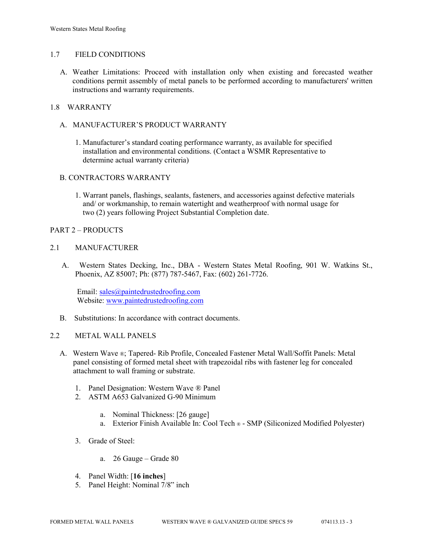#### 1.7 FIELD CONDITIONS

A. Weather Limitations: Proceed with installation only when existing and forecasted weather conditions permit assembly of metal panels to be performed according to manufacturers' written instructions and warranty requirements.

## 1.8 WARRANTY

- A. MANUFACTURER'S PRODUCT WARRANTY
	- 1. Manufacturer's standard coating performance warranty, as available for specified installation and environmental conditions. (Contact a WSMR Representative to determine actual warranty criteria)

## B. CONTRACTORS WARRANTY

1. Warrant panels, flashings, sealants, fasteners, and accessories against defective materials and/ or workmanship, to remain watertight and weatherproof with normal usage for two (2) years following Project Substantial Completion date.

#### PART 2 – PRODUCTS

#### 2.1 MANUFACTURER

 A. Western States Decking, Inc., DBA - Western States Metal Roofing, 901 W. Watkins St., Phoenix, AZ 85007; Ph: (877) 787-5467, Fax: (602) 261-7726.

Email: [sales@paintedrustedroofing.com](mailto:sales@paintedrustedroofing.com) Website: [www.paintedrustedroofing.com](http://www.paintedrustedroofing.com/)

B. Substitutions: In accordance with contract documents.

#### 2.2 METAL WALL PANELS

- A. Western Wave ®; Tapered- Rib Profile, Concealed Fastener Metal Wall/Soffit Panels: Metal panel consisting of formed metal sheet with trapezoidal ribs with fastener leg for concealed attachment to wall framing or substrate.
	- 1. Panel Designation: Western Wave ® Panel
	- 2. ASTM A653 Galvanized G-90 Minimum
		- a. Nominal Thickness: [26 gauge]
		- a. Exterior Finish Available In: Cool Tech ® SMP (Siliconized Modified Polyester)
	- 3. Grade of Steel:
		- a. 26 Gauge Grade 80
	- 4. Panel Width: [**16 inches**]
	- 5. Panel Height: Nominal 7/8" inch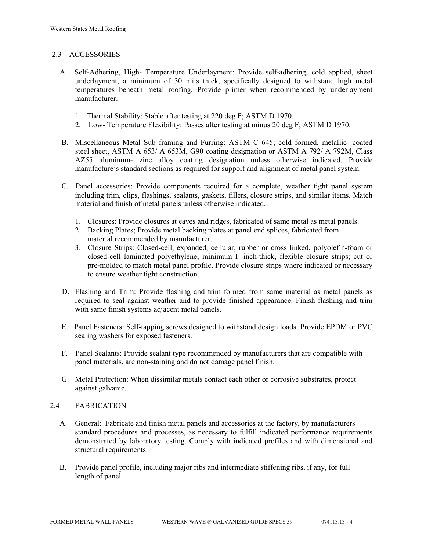## 2.3 ACCESSORIES

- A. Self-Adhering, High- Temperature Underlayment: Provide self-adhering, cold applied, sheet underlayment, a minimum of 30 mils thick, specifically designed to withstand high metal temperatures beneath metal roofing. Provide primer when recommended by underlayment manufacturer.
	- 1. Thermal Stability: Stable after testing at 220 deg F; ASTM D 1970.
	- 2. Low- Temperature Flexibility: Passes after testing at minus 20 deg F; ASTM D 1970.
- B. Miscellaneous Metal Sub framing and Furring: ASTM C 645; cold formed, metallic- coated steel sheet, ASTM A 653/ A 653M, G90 coating designation or ASTM A 792/ A 792M, Class AZ55 aluminum- zinc alloy coating designation unless otherwise indicated. Provide manufacture's standard sections as required for support and alignment of metal panel system.
- C. Panel accessories: Provide components required for a complete, weather tight panel system including trim, clips, flashings, sealants, gaskets, fillers, closure strips, and similar items. Match material and finish of metal panels unless otherwise indicated.
	- 1. Closures: Provide closures at eaves and ridges, fabricated of same metal as metal panels.
	- 2. Backing Plates; Provide metal backing plates at panel end splices, fabricated from material recommended by manufacturer.
	- 3. Closure Strips: Closed-cell, expanded, cellular, rubber or cross linked, polyolefin-foam or closed-cell laminated polyethylene; minimum I -inch-thick, flexible closure strips; cut or pre-molded to match metal panel profile. Provide closure strips where indicated or necessary to ensure weather tight construction.
- D. Flashing and Trim: Provide flashing and trim formed from same material as metal panels as required to seal against weather and to provide finished appearance. Finish flashing and trim with same finish systems adjacent metal panels.
- E. Panel Fasteners: Self-tapping screws designed to withstand design loads. Provide EPDM or PVC sealing washers for exposed fasteners.
- F. Panel Sealants: Provide sealant type recommended by manufacturers that are compatible with panel materials, are non-staining and do not damage panel finish.
- G. Metal Protection: When dissimilar metals contact each other or corrosive substrates, protect against galvanic.

## 2.4 FABRICATION

- A. General: Fabricate and finish metal panels and accessories at the factory, by manufacturers standard procedures and processes, as necessary to fulfill indicated performance requirements demonstrated by laboratory testing. Comply with indicated profiles and with dimensional and structural requirements.
- B. Provide panel profile, including major ribs and intermediate stiffening ribs, if any, for full length of panel.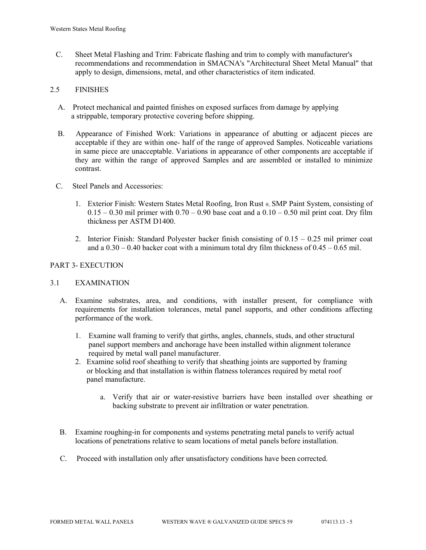C. Sheet Metal Flashing and Trim: Fabricate flashing and trim to comply with manufacturer's recommendations and recommendation in SMACNA's "Architectural Sheet Metal Manual" that apply to design, dimensions, metal, and other characteristics of item indicated.

## 2.5 FINISHES

- A. Protect mechanical and painted finishes on exposed surfaces from damage by applying a strippable, temporary protective covering before shipping.
- B. Appearance of Finished Work: Variations in appearance of abutting or adjacent pieces are acceptable if they are within one- half of the range of approved Samples. Noticeable variations in same piece are unacceptable. Variations in appearance of other components are acceptable if they are within the range of approved Samples and are assembled or installed to minimize contrast.
- C. Steel Panels and Accessories:
	- 1. Exterior Finish: Western States Metal Roofing, Iron Rust ®, SMP Paint System, consisting of  $0.15 - 0.30$  mil primer with  $0.70 - 0.90$  base coat and a  $0.10 - 0.50$  mil print coat. Dry film thickness per ASTM D1400.
	- 2. Interior Finish: Standard Polyester backer finish consisting of 0.15 0.25 mil primer coat and a  $0.30 - 0.40$  backer coat with a minimum total dry film thickness of  $0.45 - 0.65$  mil.

# PART 3- EXECUTION

## 3.1 EXAMINATION

- A. Examine substrates, area, and conditions, with installer present, for compliance with requirements for installation tolerances, metal panel supports, and other conditions affecting performance of the work.
	- 1. Examine wall framing to verify that girths, angles, channels, studs, and other structural panel support members and anchorage have been installed within alignment tolerance required by metal wall panel manufacturer.
	- 2. Examine solid roof sheathing to verify that sheathing joints are supported by framing or blocking and that installation is within flatness tolerances required by metal roof panel manufacture.
		- a. Verify that air or water-resistive barriers have been installed over sheathing or backing substrate to prevent air infiltration or water penetration.
- B. Examine roughing-in for components and systems penetrating metal panels to verify actual locations of penetrations relative to seam locations of metal panels before installation.
- C. Proceed with installation only after unsatisfactory conditions have been corrected.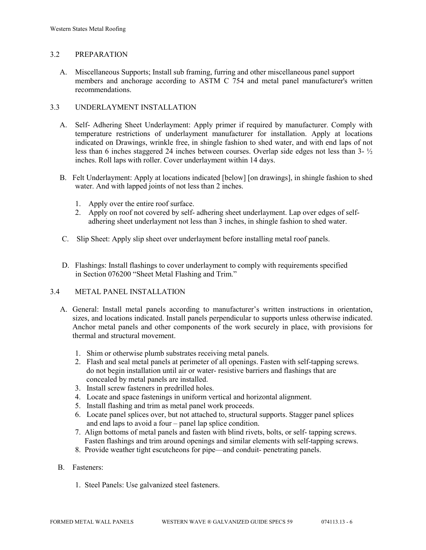## 3.2 PREPARATION

 A. Miscellaneous Supports; Install sub framing, furring and other miscellaneous panel support members and anchorage according to ASTM C 754 and metal panel manufacturer's written recommendations.

## 3.3 UNDERLAYMENT INSTALLATION

- A. Self- Adhering Sheet Underlayment: Apply primer if required by manufacturer. Comply with temperature restrictions of underlayment manufacturer for installation. Apply at locations indicated on Drawings, wrinkle free, in shingle fashion to shed water, and with end laps of not less than 6 inches staggered 24 inches between courses. Overlap side edges not less than 3- ½ inches. Roll laps with roller. Cover underlayment within 14 days.
- B. Felt Underlayment: Apply at locations indicated [below] [on drawings], in shingle fashion to shed water. And with lapped joints of not less than 2 inches.
	- 1. Apply over the entire roof surface.
	- 2. Apply on roof not covered by self- adhering sheet underlayment. Lap over edges of self adhering sheet underlayment not less than 3 inches, in shingle fashion to shed water.
- C. Slip Sheet: Apply slip sheet over underlayment before installing metal roof panels.
- D. Flashings: Install flashings to cover underlayment to comply with requirements specified in Section 076200 "Sheet Metal Flashing and Trim."

## 3.4 METAL PANEL INSTALLATION

- A. General: Install metal panels according to manufacturer's written instructions in orientation, sizes, and locations indicated. Install panels perpendicular to supports unless otherwise indicated. Anchor metal panels and other components of the work securely in place, with provisions for thermal and structural movement.
	- 1. Shim or otherwise plumb substrates receiving metal panels.
	- 2. Flash and seal metal panels at perimeter of all openings. Fasten with self-tapping screws. do not begin installation until air or water- resistive barriers and flashings that are concealed by metal panels are installed.
	- 3. Install screw fasteners in predrilled holes.
	- 4. Locate and space fastenings in uniform vertical and horizontal alignment.
	- 5. Install flashing and trim as metal panel work proceeds.
	- 6. Locate panel splices over, but not attached to, structural supports. Stagger panel splices and end laps to avoid a four – panel lap splice condition.
	- 7. Align bottoms of metal panels and fasten with blind rivets, bolts, or self- tapping screws. Fasten flashings and trim around openings and similar elements with self-tapping screws.
	- 8. Provide weather tight escutcheons for pipe—and conduit- penetrating panels.

#### B. Fasteners:

1. Steel Panels: Use galvanized steel fasteners.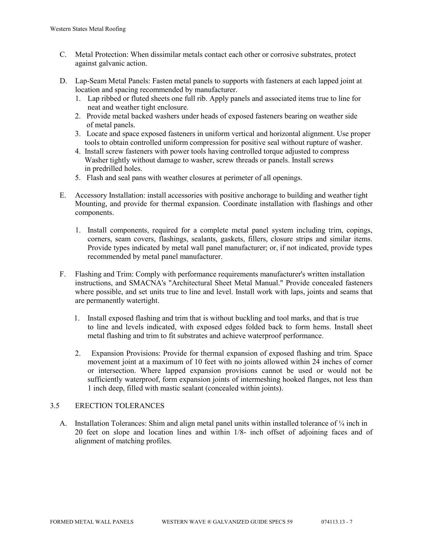- C. Metal Protection: When dissimilar metals contact each other or corrosive substrates, protect against galvanic action.
- D. Lap-Seam Metal Panels: Fasten metal panels to supports with fasteners at each lapped joint at location and spacing recommended by manufacturer.
	- 1. Lap ribbed or fluted sheets one full rib. Apply panels and associated items true to line for neat and weather tight enclosure.
	- 2. Provide metal backed washers under heads of exposed fasteners bearing on weather side of metal panels.
	- 3. Locate and space exposed fasteners in uniform vertical and horizontal alignment. Use proper tools to obtain controlled uniform compression for positive seal without rupture of washer.
	- 4. Install screw fasteners with power tools having controlled torque adjusted to compress Washer tightly without damage to washer, screw threads or panels. Install screws in predrilled holes.
	- 5. Flash and seal pans with weather closures at perimeter of all openings.
- E. Accessory Installation: install accessories with positive anchorage to building and weather tight Mounting, and provide for thermal expansion. Coordinate installation with flashings and other components.
	- 1. Install components, required for a complete metal panel system including trim, copings, corners, seam covers, flashings, sealants, gaskets, fillers, closure strips and similar items. Provide types indicated by metal wall panel manufacturer; or, if not indicated, provide types recommended by metal panel manufacturer.
- F. Flashing and Trim: Comply with performance requirements manufacturer's written installation instructions, and SMACNA's "Architectural Sheet Metal Manual." Provide concealed fasteners where possible, and set units true to line and level. Install work with laps, joints and seams that are permanently watertight.
	- 1. Install exposed flashing and trim that is without buckling and tool marks, and that is true to line and levels indicated, with exposed edges folded back to form hems. Install sheet metal flashing and trim to fit substrates and achieve waterproof performance.
	- 2. Expansion Provisions: Provide for thermal expansion of exposed flashing and trim. Space movement joint at a maximum of 10 feet with no joints allowed within 24 inches of corner or intersection. Where lapped expansion provisions cannot be used or would not be sufficiently waterproof, form expansion joints of intermeshing hooked flanges, not less than 1 inch deep, filled with mastic sealant (concealed within joints).

# 3.5 ERECTION TOLERANCES

A. Installation Tolerances: Shim and align metal panel units within installed tolerance of  $\frac{1}{4}$  inch in 20 feet on slope and location lines and within 1/8- inch offset of adjoining faces and of alignment of matching profiles.